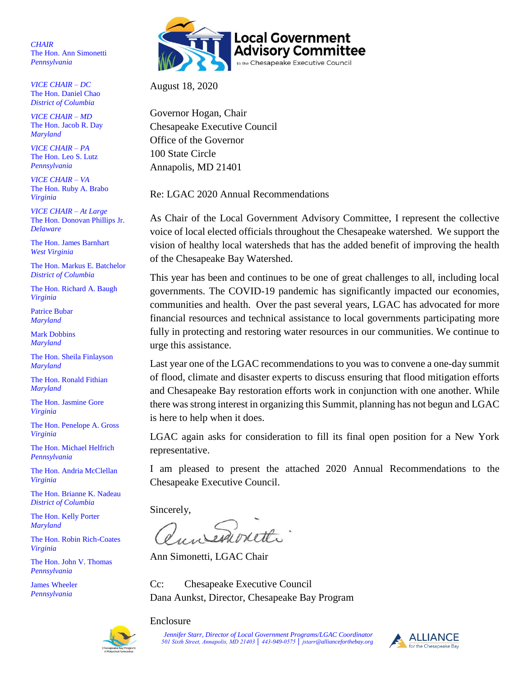*CHAIR* The Hon. Ann Simonetti *Pennsylvania*

*VICE CHAIR – DC* The Hon. Daniel Chao *District of Columbia* 

*VICE CHAIR – MD* The Hon. Jacob R. Day *Maryland*

*VICE CHAIR – PA* The Hon. Leo S. Lutz *Pennsylvania*

*VICE CHAIR – VA* The Hon. Ruby A. Brabo *Virginia*

*VICE CHAIR – At Large* The Hon. Donovan Phillips Jr. *Delaware*

The Hon. James Barnhart *West Virginia*

The Hon. Markus E. Batchelor *District of Columbia* 

The Hon. Richard A. Baugh *Virginia*

Patrice Bubar *Maryland*

Mark Dobbins *Maryland*

The Hon. Sheila Finlayson *Maryland*

The Hon. Ronald Fithian *Maryland*

The Hon. Jasmine Gore *Virginia*

The Hon. Penelope A. Gross *Virginia*

The Hon. Michael Helfrich *Pennsylvania*

The Hon. Andria McClellan *Virginia*

The Hon. Brianne K. Nadeau *District of Columbia* 

The Hon. Kelly Porter *Maryland*

The Hon. Robin Rich-Coates *Virginia*

The Hon. John V. Thomas *Pennsylvania*

James Wheeler *Pennsylvania* 



August 18, 2020

Governor Hogan, Chair Chesapeake Executive Council Office of the Governor 100 State Circle Annapolis, MD 21401

Re: LGAC 2020 Annual Recommendations

As Chair of the Local Government Advisory Committee, I represent the collective voice of local elected officials throughout the Chesapeake watershed. We support the vision of healthy local watersheds that has the added benefit of improving the health of the Chesapeake Bay Watershed.

This year has been and continues to be one of great challenges to all, including local governments. The COVID-19 pandemic has significantly impacted our economies, communities and health. Over the past several years, LGAC has advocated for more financial resources and technical assistance to local governments participating more fully in protecting and restoring water resources in our communities. We continue to urge this assistance.

Last year one of the LGAC recommendations to you was to convene a one-day summit of flood, climate and disaster experts to discuss ensuring that flood mitigation efforts and Chesapeake Bay restoration efforts work in conjunction with one another. While there was strong interest in organizing this Summit, planning has not begun and LGAC is here to help when it does.

LGAC again asks for consideration to fill its final open position for a New York representative.

I am pleased to present the attached 2020 Annual Recommendations to the Chesapeake Executive Council.

Sincerely,

Ann Simonetti, LGAC Chair

Cc: Chesapeake Executive Council Dana Aunkst, Director, Chesapeake Bay Program

# Enclosure

 *Jennifer Starr, Director of Local Government Programs/LGAC Coordinator 501 Sixth Street, Annapolis, MD 21403 │ 443-949-0575 │ jstarr@allianceforthebay.org*

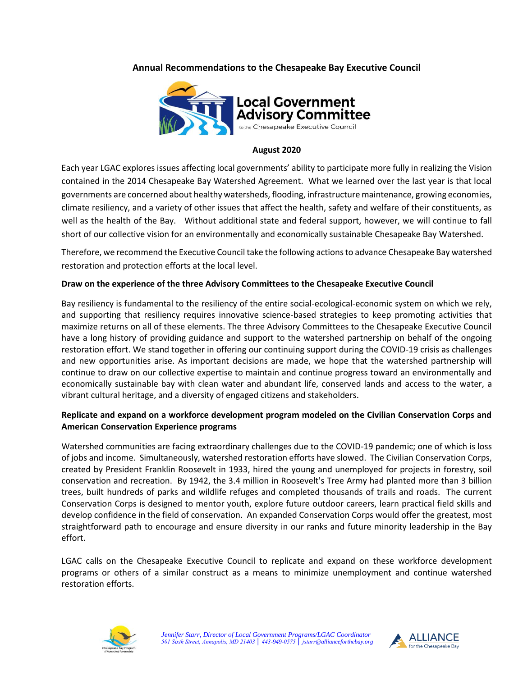## **Annual Recommendations to the Chesapeake Bay Executive Council**



#### **August 2020**

Each year LGAC explores issues affecting local governments' ability to participate more fully in realizing the Vision contained in the 2014 Chesapeake Bay Watershed Agreement. What we learned over the last year is that local governments are concerned about healthy watersheds, flooding, infrastructure maintenance, growing economies, climate resiliency, and a variety of other issues that affect the health, safety and welfare of their constituents, as well as the health of the Bay. Without additional state and federal support, however, we will continue to fall short of our collective vision for an environmentally and economically sustainable Chesapeake Bay Watershed.

Therefore, we recommend the Executive Council take the following actions to advance Chesapeake Bay watershed restoration and protection efforts at the local level.

#### **Draw on the experience of the three Advisory Committees to the Chesapeake Executive Council**

Bay resiliency is fundamental to the resiliency of the entire social-ecological-economic system on which we rely, and supporting that resiliency requires innovative science-based strategies to keep promoting activities that maximize returns on all of these elements. The three Advisory Committees to the Chesapeake Executive Council have a long history of providing guidance and support to the watershed partnership on behalf of the ongoing restoration effort. We stand together in offering our continuing support during the COVID-19 crisis as challenges and new opportunities arise. As important decisions are made, we hope that the watershed partnership will continue to draw on our collective expertise to maintain and continue progress toward an environmentally and economically sustainable bay with clean water and abundant life, conserved lands and access to the water, a vibrant cultural heritage, and a diversity of engaged citizens and stakeholders.

## **Replicate and expand on a workforce development program modeled on the Civilian Conservation Corps and American Conservation Experience programs**

Watershed communities are facing extraordinary challenges due to the COVID-19 pandemic; one of which is loss of jobs and income. Simultaneously, watershed restoration efforts have slowed. The Civilian Conservation Corps, created by President Franklin Roosevelt in 1933, hired the young and unemployed for projects in forestry, soil conservation and recreation. By 1942, the 3.4 million in Roosevelt's Tree Army had planted more than 3 billion trees, built hundreds of parks and wildlife refuges and completed thousands of trails and roads. The current Conservation Corps is designed to mentor youth, explore future outdoor careers, learn practical field skills and develop confidence in the field of conservation. An expanded Conservation Corps would offer the greatest, most straightforward path to encourage and ensure diversity in our ranks and future minority leadership in the Bay effort.

LGAC calls on the Chesapeake Executive Council to replicate and expand on these workforce development programs or others of a similar construct as a means to minimize unemployment and continue watershed restoration efforts.